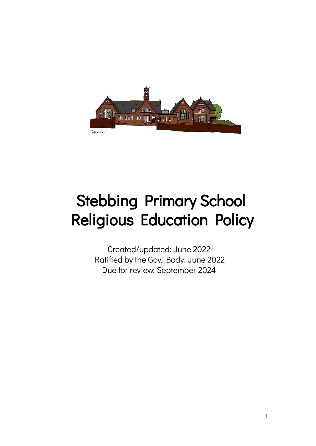

# Stebbing Primary School Religious Education Policy

Created/updated: June 2022 Ratified by the Gov. Body: June 2022 Due for review: September 2024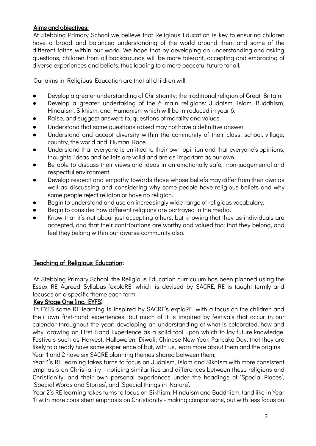# Aims and objectives:

At Stebbing Primary School we believe that Religious Education is key to ensuring children have a broad and balanced understanding of the world around them and some of the different faiths within our world. We hope that by developing an understanding and asking questions, children from all backgrounds will be more tolerant, accepting and embracing of diverse experiences and beliefs, thus leading to a more peaceful future for all.

Our aims in Religious Education are that all children will:

- Develop a greater understanding of Christianity; the traditional religion of Great Britain.
- Develop a greater undertaking of the 6 main religions: Judaism, Islam, Buddhism, Hinduism, Sikhism, and Humanism which will be introduced in year 6.
- Raise, and suggest answers to, questions of morality and values.
- Understand that some questions raised may not have a definitive answer.
- Understand and accept diversity within the community of their class, school, village, country, the world and Human Race.
- Understand that everyone is entitled to their own opinion and that everyone's opinions, thoughts, ideas and beliefs are valid and are as important as our own.
- Be able to discuss their views and ideas in an emotionally safe, non-judgemental and respectful environment.
- Develop respect and empathy towards those whose beliefs may differ from their own as well as discussing and considering why some people have religious beliefs and why some people reject religion or have no religion.
- Begin to understand and use an increasingly wide range of religious vocabulary.
- Begin to consider how different religions are portrayed in the media.
- Know that it's not about just accepting others, but knowing that they as individuals are accepted, and that their contributions are worthy and valued too; that they belong, and feel they belong within our diverse community also.

# Teaching of Religious Education:

At Stebbing Primary School, the Religious Education curriculum has been planned using the Essex RE Agreed Syllabus 'exploRE' which is devised by SACRE. RE is taught termly and focuses on a specific theme each term.

# Key Stage One (inc. EYFS)

In EYFS some RE learning is inspired by SACRE's exploRE, with a focus on the children and their own first-hand experiences, but much of it is inspired by festivals that occur in our calendar throughout the year; developing an understanding of what is celebrated, how and why; drawing on First Hand Experience as a solid tool upon which to lay future knowledge. Festivals such as Harvest, Hallowe'en, Diwali, Chinese New Year, Pancake Day, that they are likely to already have some experience of but, with us, learn more about them and the origins. Year 1 and 2 have six SACRE planning themes shared between them;

Year 1's RE learning takes turns to focus on Judaism, Islam and Sikhism with more consistent emphasis on Christianity - noticing similarities and differences between these religions and Christianity, and their own personal experiences under the headings of 'Special Places', 'Special Words and Stories', and 'Special things in Nature'.

Year 2's RE learning takes turns to focus on Sikhism, Hinduism and Buddhism, (and like in Year 1) with more consistent emphasis on Christianity - making comparisons, but with less focus on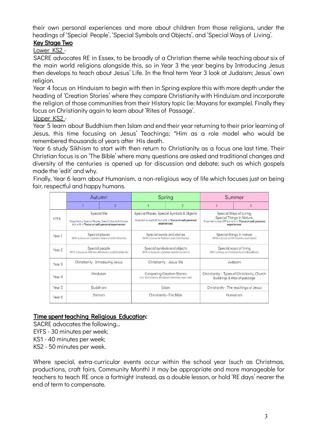their own personal experiences and more about children from those religions, under the headings of 'Special People', 'Special Symbols and Objects', and 'Special Ways of Living'.

# Key Stage Two

Lower KS2 -

SACRE advocates RE in Essex, to be broadly of a Christian theme while teaching about six of the main world religions alongside this, so in Year 3 the year begins by Introducing Jesus then develops to teach about Jesus' Life. In the final term Year 3 look at Judaism; Jesus' own religion.

Year 4 focus on Hinduism to begin with then in Spring explore this with more depth under the heading of 'Creation Stories' where they compare Christianity with Hinduism and incorporate the religion of those communities from their History topic (ie: Mayans for example). Finally they focus on Christianity again to learn about 'Rites of Passage'.

#### Upper KS2 -

Year 5 learn about Buddhism then Islam and end their year returning to their prior learning of Jesus, this time focusing on Jesus' Teachings; \*Him as a role model who would be remembered thousands of years after His death.

Year 6 study Sikhism to start with then return to Christianity as a focus one last time. Their Christian focus is on 'The Bible' where many questions are asked and traditional changes and diversity of the centuries is opened up for discussion and debate; such as which gospels made the 'edit' and why.

Finally, Year 6 learn about Humanism, a non-religious way of life which focuses just on being fair, respectful and happy humans.

|                   | Autumn                                                                                                                 |                | Spring                                                                                                                |                | <b>Summer</b>                                                                                                                    |                |
|-------------------|------------------------------------------------------------------------------------------------------------------------|----------------|-----------------------------------------------------------------------------------------------------------------------|----------------|----------------------------------------------------------------------------------------------------------------------------------|----------------|
|                   |                                                                                                                        | $\overline{2}$ |                                                                                                                       | $\overline{2}$ |                                                                                                                                  | $\overline{2}$ |
| EYFS.             | Special Me<br>(Inspired by Special People, Special Words & Stories<br>but with a "Focus on self; personal experiences! |                | Special Places, Special Symbols & Objects<br>(Inspired by exploRE but with a "Focus on self; personal<br>experiences) |                | Special Ways of Living,<br>Special Thinas in Nature.<br>(Inspired by exploRE but with a "Focus on self; personal<br>experiences! |                |
| Year 1            | Special places<br>(With a focus on Judaism, Islam and Christianity)                                                    |                | Special words and stories<br>(With a focus on Sikhism and Christianity)                                               |                | Special things in nature<br>(With a facus on Christianity and Islam)                                                             |                |
| Year 2            | Special people<br>(With a focus on Sikhism, Hinduism and Christianity)                                                 |                | Special symbols and objects<br>(With a focus on Judaism and Christianity)                                             |                | Special ways of living<br>(With a focus on Christianity and Buddhism)                                                            |                |
| Year <sub>3</sub> | Christianity - Introducing Jesus                                                                                       |                | Christianity - Jesus' life                                                                                            |                | Judaism                                                                                                                          |                |
| Year 4            | Hinduism                                                                                                               |                | <b>Comparing Creation Stories</b><br>(inc. Christianity, Hinduism & History topic link)                               |                | Christianity - Types of Christianity, Church<br>buildings & rites of passage                                                     |                |
| Year 5            | Buddhism                                                                                                               |                | Islam                                                                                                                 |                | Christianity - The teachings of Jesus                                                                                            |                |
| Year 6            | Sikhism                                                                                                                |                | Christianity - The Bible                                                                                              |                | Humanism                                                                                                                         |                |

# Time spent teaching Religious Education:

SACRE advocates the following… EYFS - 30 minutes per week; KS1 - 40 minutes per week; KS2 - 50 minutes per week.

Where special, extra-curricular events occur within the school year (such as Christmas, productions, craft fairs, Community Month) it may be appropriate and more manageable for teachers to teach RE once a fortnight instead, as a double lesson, or hold 'RE days' nearer the end of term to compensate.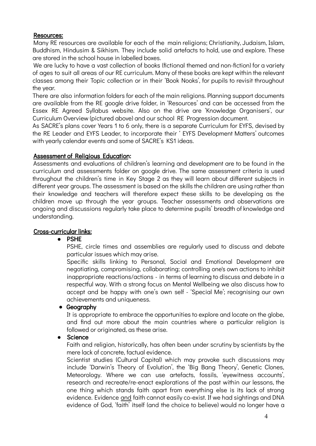# Resources:

Many RE resources are available for each of the main religions; Christianity, Judaism, Islam, Buddhism, Hindusim & Sikhism. They include solid artefacts to hold, use and explore. These are stored in the school house in labelled boxes.

We are lucky to have a vast collection of books (fictional themed and non-fiction) for a variety of ages to suit all areas of our RE curriculum. Many of these books are kept within the relevant classes among their Topic collection or in their 'Book Nooks', for pupils to revisit throughout the year.

There are also information folders for each of the main religions. Planning support documents are available from the RE google drive folder, in 'Resources' and can be accessed from the Essex RE Agreed Syllabus website. Also on the drive are 'Knowledge Organisers', our Curriculum Overview (pictured above) and our school RE Progression document.

As SACRE's plans cover Years 1 to 6 only, there is a separate Curriculum for EYFS, devised by the RE Leader and EYFS Leader, to incorporate their ' EYFS Development Matters' outcomes with yearly calendar events and some of SACRE's KS1 ideas.

#### Assessment of Religious Education:

Assessments and evaluations of children's learning and development are to be found in the curriculum and assessments folder on google drive. The same assessment criteria is used throughout the children's time in Key Stage 2 as they will learn about different subjects in different year groups. The assessment is based on the skills the children are using rather than their knowledge and teachers will therefore expect these skills to be developing as the children move up through the year groups. Teacher assessments and observations are ongoing and discussions regularly take place to determine pupils' breadth of knowledge and understanding.

# Cross-curricular links:

#### **●** PSHE

PSHE, circle times and assemblies are regularly used to discuss and debate particular issues which may arise.

Specific skills linking to Personal, Social and Emotional Development are negotiating, compromising, collaborating; controlling one's own actions to inhibit inappropriate reactions/actions - in terms of learning to discuss and debate in a respectful way. With a strong focus on Mental Wellbeing we also discuss how to accept and be happy with one's own self - 'Special Me'; recognising our own achievements and uniqueness.

# **●** Geography

It is appropriate to embrace the opportunities to explore and locate on the globe, and find out more about the main countries where a particular religion is followed or originated, as these arise.

#### **●** Science

Faith and religion, historically, has often been under scrutiny by scientists by the mere lack of concrete, factual evidence.

Scientist studies (Cultural Capital) which may provoke such discussions may include 'Darwin's Theory of Evolution', the 'Big Bang Theory', Genetic Clones, Meteorology. Where we can use artefacts, fossils, 'eyewitness accounts', research and recreate/re-enact explorations of the past within our lessons, the one thing which stands faith apart from everything else is its lack of strong evidence. Evidence and faith cannot easily co-exist. If we had sightings and DNA evidence of God, 'faith' itself (and the choice to believe) would no longer have a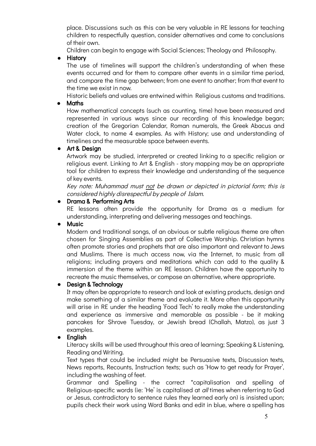place. Discussions such as this can be very valuable in RE lessons for teaching children to respectfully question, consider alternatives and come to conclusions of their own.

Children can begin to engage with Social Sciences; Theology and Philosophy.

**●** History

The use of timelines will support the children's understanding of when these events occurred and for them to compare other events in a similar time period, and compare the time gap between; from one event to another; from that event to the time we exist in now.

Historic beliefs and values are entwined within Religious customs and traditions.

# **●** Maths

How mathematical concepts (such as counting, time) have been measured and represented in various ways since our recording of this knowledge began; creation of the Gregorian Calendar, Roman numerals, the Greek Abacus and Water clock, to name 4 examples. As with History; use and understanding of timelines and the measurable space between events.

# **●** Art & Design

Artwork may be studied, interpreted or created linking to a specific religion or religious event. Linking to Art & English - story mapping may be an appropriate tool for children to express their knowledge and understanding of the sequence of key events.

Key note: Muhammad must not be drawn or depicted in pictorial form; this is considered highly disrespectful by people of Islam.

## ● Drama & Performing Arts

RE lessons often provide the opportunity for Drama as a medium for understanding, interpreting and delivering messages and teachings.

# **●** Music

Modern and traditional songs, of an obvious or subtle religious theme are often chosen for Singing Assemblies as part of Collective Worship. Christian hymns often promote stories and prophets that are also important and relevant to Jews and Muslims. There is much access now, via the Internet, to music from all religions; including prayers and meditations which can add to the quality & immersion of the theme within an RE lesson. Children have the opportunity to recreate the music themselves, or compose an alternative, where appropriate.

# **●** Design & Technology

It may often be appropriate to research and look at existing products, design and make something of a similar theme and evaluate it. More often this opportunity will arise in RE under the heading 'Food Tech' to really make the understanding and experience as immersive and memorable as possible - be it making pancakes for Shrove Tuesday, or Jewish bread (Challah, Matzo), as just 3 examples.

# **●** English

Literacy skills will be used throughout this area of learning; Speaking & Listening, Reading and Writing.

Text types that could be included might be Persuasive texts, Discussion texts, News reports, Recounts, Instruction texts; such as 'How to get ready for Prayer', including the washing of feet.

Grammar and Spelling - the correct \*capitalisation and spelling of Religious-specific words (ie: 'He' is capitalised at all times when referring to God or Jesus, contradictory to sentence rules they learned early on) is insisted upon; pupils check their work using Word Banks and edit in blue, where a spelling has